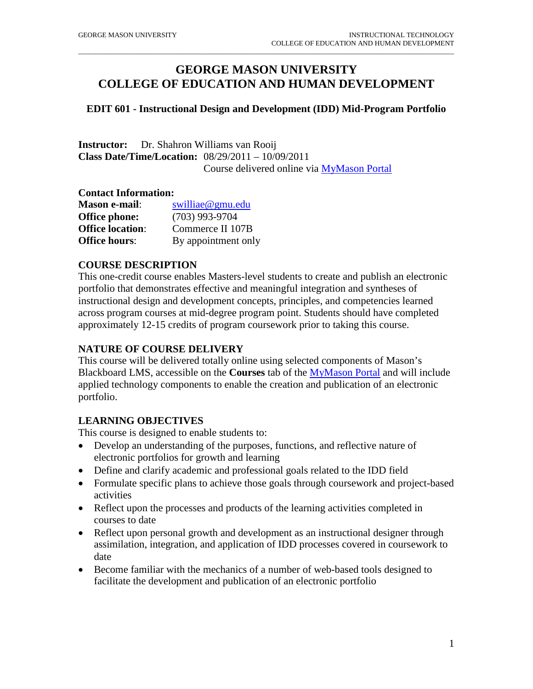# **GEORGE MASON UNIVERSITY COLLEGE OF EDUCATION AND HUMAN DEVELOPMENT**

\_\_\_\_\_\_\_\_\_\_\_\_\_\_\_\_\_\_\_\_\_\_\_\_\_\_\_\_\_\_\_\_\_\_\_\_\_\_\_\_\_\_\_\_\_\_\_\_\_\_\_\_\_\_\_\_\_\_\_\_\_\_\_\_\_\_\_\_\_\_\_\_\_\_\_\_\_\_\_\_\_\_\_\_\_\_\_\_\_\_\_\_\_\_\_\_\_\_\_\_\_\_\_\_\_\_\_\_

#### **EDIT 601 - Instructional Design and Development (IDD) Mid-Program Portfolio**

**Instructor:** Dr. Shahron Williams van Rooij **Class Date/Time/Location:** 08/29/2011 – 10/09/2011 Course delivered online via [MyMason Portal](http://mymasonportal.gmu.edu/)

#### **Contact Information:**

| <b>Mason e-mail:</b>    | swilliae@gmu.edu    |
|-------------------------|---------------------|
| <b>Office phone:</b>    | $(703)$ 993-9704    |
| <b>Office location:</b> | Commerce II 107B    |
| <b>Office hours:</b>    | By appointment only |

#### **COURSE DESCRIPTION**

This one-credit course enables Masters-level students to create and publish an electronic portfolio that demonstrates effective and meaningful integration and syntheses of instructional design and development concepts, principles, and competencies learned across program courses at mid-degree program point. Students should have completed approximately 12-15 credits of program coursework prior to taking this course.

#### **NATURE OF COURSE DELIVERY**

This course will be delivered totally online using selected components of Mason's Blackboard LMS, accessible on the **Courses** tab of the [MyMason Portal](http://mymasonportal.gmu.edu/) and will include applied technology components to enable the creation and publication of an electronic portfolio.

#### **LEARNING OBJECTIVES**

This course is designed to enable students to:

- Develop an understanding of the purposes, functions, and reflective nature of electronic portfolios for growth and learning
- Define and clarify academic and professional goals related to the IDD field
- Formulate specific plans to achieve those goals through coursework and project-based activities
- Reflect upon the processes and products of the learning activities completed in courses to date
- Reflect upon personal growth and development as an instructional designer through assimilation, integration, and application of IDD processes covered in coursework to date
- Become familiar with the mechanics of a number of web-based tools designed to facilitate the development and publication of an electronic portfolio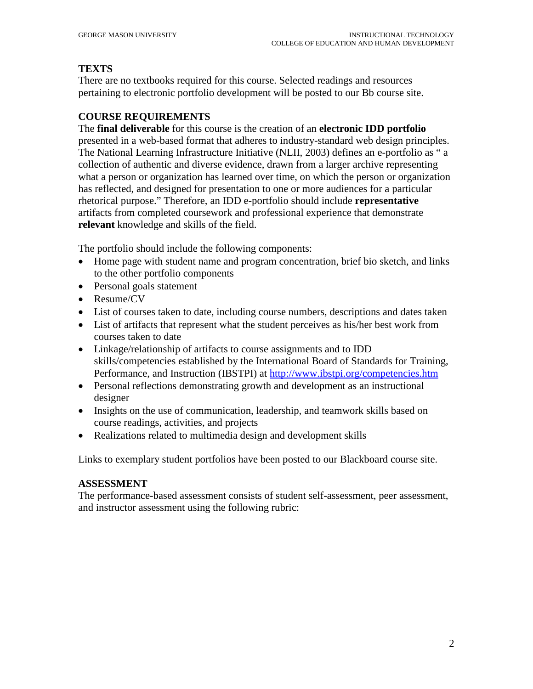## **TEXTS**

There are no textbooks required for this course. Selected readings and resources pertaining to electronic portfolio development will be posted to our Bb course site.

\_\_\_\_\_\_\_\_\_\_\_\_\_\_\_\_\_\_\_\_\_\_\_\_\_\_\_\_\_\_\_\_\_\_\_\_\_\_\_\_\_\_\_\_\_\_\_\_\_\_\_\_\_\_\_\_\_\_\_\_\_\_\_\_\_\_\_\_\_\_\_\_\_\_\_\_\_\_\_\_\_\_\_\_\_\_\_\_\_\_\_\_\_\_\_\_\_\_\_\_\_\_\_\_\_\_\_\_

### **COURSE REQUIREMENTS**

The **final deliverable** for this course is the creation of an **electronic IDD portfolio** presented in a web-based format that adheres to industry-standard web design principles. The National Learning Infrastructure Initiative (NLII, 2003) defines an e-portfolio as " a collection of authentic and diverse evidence, drawn from a larger archive representing what a person or organization has learned over time, on which the person or organization has reflected, and designed for presentation to one or more audiences for a particular rhetorical purpose." Therefore, an IDD e-portfolio should include **representative** artifacts from completed coursework and professional experience that demonstrate **relevant** knowledge and skills of the field.

The portfolio should include the following components:

- Home page with student name and program concentration, brief bio sketch, and links to the other portfolio components
- Personal goals statement
- Resume/CV
- List of courses taken to date, including course numbers, descriptions and dates taken
- List of artifacts that represent what the student perceives as his/her best work from courses taken to date
- Linkage/relationship of artifacts to course assignments and to IDD skills/competencies established by the International Board of Standards for Training, Performance, and Instruction (IBSTPI) at<http://www.ibstpi.org/competencies.htm>
- Personal reflections demonstrating growth and development as an instructional designer
- Insights on the use of communication, leadership, and teamwork skills based on course readings, activities, and projects
- Realizations related to multimedia design and development skills

Links to exemplary student portfolios have been posted to our Blackboard course site.

### **ASSESSMENT**

The performance-based assessment consists of student self-assessment, peer assessment, and instructor assessment using the following rubric: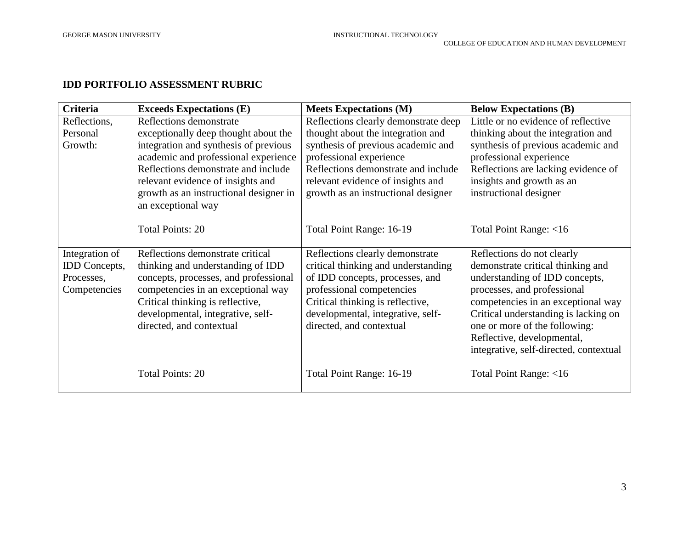### **IDD PORTFOLIO ASSESSMENT RUBRIC**

\_\_\_\_\_\_\_\_\_\_\_\_\_\_\_\_\_\_\_\_\_\_\_\_\_\_\_\_\_\_\_\_\_\_\_\_\_\_\_\_\_\_\_\_\_\_\_\_\_\_\_\_\_\_\_\_\_\_\_\_\_\_\_\_\_\_\_\_\_\_\_\_\_\_\_\_\_\_\_\_\_\_\_\_\_\_\_\_\_\_\_\_\_\_\_\_\_\_\_\_\_\_\_\_\_\_\_\_

| <b>Criteria</b>      | <b>Exceeds Expectations (E)</b>        | <b>Meets Expectations (M)</b>        | <b>Below Expectations (B)</b>          |
|----------------------|----------------------------------------|--------------------------------------|----------------------------------------|
| Reflections,         | Reflections demonstrate                | Reflections clearly demonstrate deep | Little or no evidence of reflective    |
| Personal             | exceptionally deep thought about the   | thought about the integration and    | thinking about the integration and     |
| Growth:              | integration and synthesis of previous  | synthesis of previous academic and   | synthesis of previous academic and     |
|                      | academic and professional experience   | professional experience              | professional experience                |
|                      | Reflections demonstrate and include    | Reflections demonstrate and include  | Reflections are lacking evidence of    |
|                      | relevant evidence of insights and      | relevant evidence of insights and    | insights and growth as an              |
|                      | growth as an instructional designer in | growth as an instructional designer  | instructional designer                 |
|                      | an exceptional way                     |                                      |                                        |
|                      |                                        |                                      |                                        |
|                      | <b>Total Points: 20</b>                | Total Point Range: 16-19             | Total Point Range: <16                 |
|                      |                                        |                                      |                                        |
| Integration of       | Reflections demonstrate critical       | Reflections clearly demonstrate      | Reflections do not clearly             |
| <b>IDD</b> Concepts, | thinking and understanding of IDD      | critical thinking and understanding  | demonstrate critical thinking and      |
| Processes,           | concepts, processes, and professional  | of IDD concepts, processes, and      | understanding of IDD concepts,         |
| Competencies         | competencies in an exceptional way     | professional competencies            | processes, and professional            |
|                      | Critical thinking is reflective,       | Critical thinking is reflective,     | competencies in an exceptional way     |
|                      | developmental, integrative, self-      | developmental, integrative, self-    | Critical understanding is lacking on   |
|                      | directed, and contextual               | directed, and contextual             | one or more of the following:          |
|                      |                                        |                                      | Reflective, developmental,             |
|                      |                                        |                                      | integrative, self-directed, contextual |
|                      | <b>Total Points: 20</b>                | Total Point Range: 16-19             | Total Point Range: <16                 |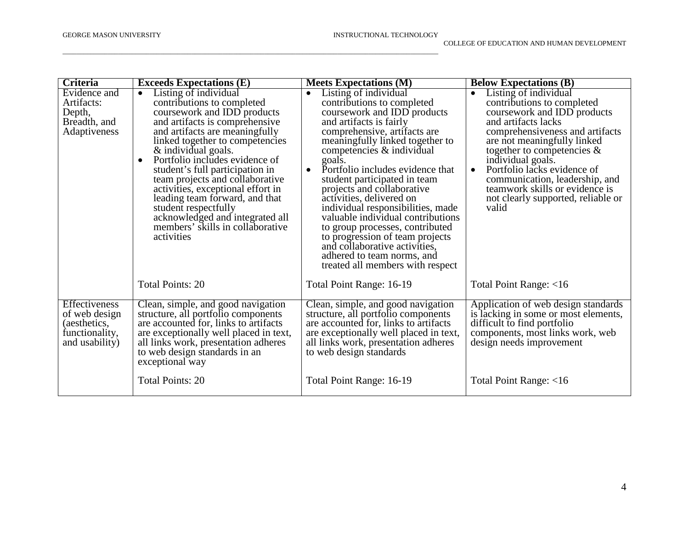| Criteria                                                                           | <b>Exceeds Expectations (E)</b>                                                                                                                                                                                                                                                                                                                                                                                                                                                                                                         | <b>Meets Expectations (M)</b>                                                                                                                                                                                                                                                                                                                                                                                                                                                                                                                                                                                                      | <b>Below Expectations (B)</b>                                                                                                                                                                                                                                                                                                                                                                                 |
|------------------------------------------------------------------------------------|-----------------------------------------------------------------------------------------------------------------------------------------------------------------------------------------------------------------------------------------------------------------------------------------------------------------------------------------------------------------------------------------------------------------------------------------------------------------------------------------------------------------------------------------|------------------------------------------------------------------------------------------------------------------------------------------------------------------------------------------------------------------------------------------------------------------------------------------------------------------------------------------------------------------------------------------------------------------------------------------------------------------------------------------------------------------------------------------------------------------------------------------------------------------------------------|---------------------------------------------------------------------------------------------------------------------------------------------------------------------------------------------------------------------------------------------------------------------------------------------------------------------------------------------------------------------------------------------------------------|
| Evidence and<br>Artifacts:<br>Depth,<br>Breadth, and<br>Adaptiveness               | Listing of individual<br>$\bullet$<br>contributions to completed<br>coursework and IDD products<br>and artifacts is comprehensive.<br>and artifacts are meaningfully<br>linked together to competencies<br>& individual goals.<br>Portfolio includes evidence of<br>$\bullet$<br>student's full participation in<br>team projects and collaborative<br>activities, exceptional effort in<br>leading team forward, and that<br>student respectfully<br>acknowledged and integrated all<br>members' skills in collaborative<br>activities | Listing of individual<br>$\bullet$<br>contributions to completed<br>coursework and IDD products<br>and artifacts is fairly<br>comprehensive, artifacts are<br>meaningfully linked together to<br>competencies & individual<br>goals.<br>Portfolio includes evidence that<br>$\bullet$<br>student participated in team<br>projects and collaborative<br>activities, delivered on<br>individual responsibilities, made<br>valuable individual contributions<br>to group processes, contributed<br>to progression of team projects<br>and collaborative activities,<br>adhered to team norms, and<br>treated all members with respect | Listing of individual<br>$\bullet$<br>contributions to completed<br>coursework and IDD products<br>and artifacts lacks<br>comprehensiveness and artifacts<br>are not meaningfully linked<br>together to competencies $\&$<br>individual goals.<br>Portfolio lacks evidence of<br>$\bullet$<br>communication, leadership, and<br>teamwork skills or evidence is<br>not clearly supported, reliable or<br>valid |
|                                                                                    | <b>Total Points: 20</b>                                                                                                                                                                                                                                                                                                                                                                                                                                                                                                                 | Total Point Range: 16-19                                                                                                                                                                                                                                                                                                                                                                                                                                                                                                                                                                                                           | Total Point Range: <16                                                                                                                                                                                                                                                                                                                                                                                        |
| Effectiveness<br>of web design<br>(aesthetics,<br>functionality,<br>and usability) | Clean, simple, and good navigation<br>structure, all portfolio components<br>are accounted for, links to artifacts<br>are exceptionally well placed in text,<br>all links work, presentation adheres<br>to web design standards in an<br>exceptional way<br><b>Total Points: 20</b>                                                                                                                                                                                                                                                     | Clean, simple, and good navigation<br>structure, all portfolio components<br>are accounted for, links to artifacts<br>are exceptionally well placed in text,<br>all links work, presentation adheres<br>to web design standards<br>Total Point Range: 16-19                                                                                                                                                                                                                                                                                                                                                                        | Application of web design standards<br>is lacking in some or most elements,<br>difficult to find portfolio<br>components, most links work, web<br>design needs improvement<br>Total Point Range: <16                                                                                                                                                                                                          |

\_\_\_\_\_\_\_\_\_\_\_\_\_\_\_\_\_\_\_\_\_\_\_\_\_\_\_\_\_\_\_\_\_\_\_\_\_\_\_\_\_\_\_\_\_\_\_\_\_\_\_\_\_\_\_\_\_\_\_\_\_\_\_\_\_\_\_\_\_\_\_\_\_\_\_\_\_\_\_\_\_\_\_\_\_\_\_\_\_\_\_\_\_\_\_\_\_\_\_\_\_\_\_\_\_\_\_\_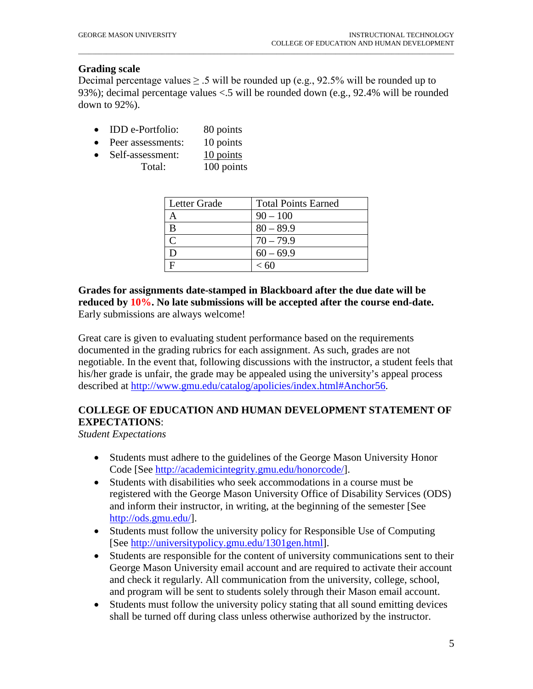#### **Grading scale**

Decimal percentage values  $\geq 0.5$  will be rounded up (e.g., 92.5% will be rounded up to 93%); decimal percentage values <.5 will be rounded down (e.g., 92.4% will be rounded down to 92%).

\_\_\_\_\_\_\_\_\_\_\_\_\_\_\_\_\_\_\_\_\_\_\_\_\_\_\_\_\_\_\_\_\_\_\_\_\_\_\_\_\_\_\_\_\_\_\_\_\_\_\_\_\_\_\_\_\_\_\_\_\_\_\_\_\_\_\_\_\_\_\_\_\_\_\_\_\_\_\_\_\_\_\_\_\_\_\_\_\_\_\_\_\_\_\_\_\_\_\_\_\_\_\_\_\_\_\_\_

- **IDD** e-Portfolio: 80 points
- Peer assessments: 10 points
- Self-assessment: 10 points Total: 100 points

| Letter Grade | <b>Total Points Earned</b> |
|--------------|----------------------------|
|              | $90 - 100$                 |
|              | $80 - 89.9$                |
|              | $70 - 79.9$                |
|              | $60 - 69.9$                |
|              | < 60                       |

### **Grades for assignments date-stamped in Blackboard after the due date will be reduced by 10%. No late submissions will be accepted after the course end-date.**  Early submissions are always welcome!

Great care is given to evaluating student performance based on the requirements documented in the grading rubrics for each assignment. As such, grades are not negotiable. In the event that, following discussions with the instructor, a student feels that his/her grade is unfair, the grade may be appealed using the university's appeal process described at [http://www.gmu.edu/catalog/apolicies/index.html#Anchor56.](http://www.gmu.edu/catalog/apolicies/index.html#Anchor56)

### **COLLEGE OF EDUCATION AND HUMAN DEVELOPMENT STATEMENT OF EXPECTATIONS**:

*Student Expectations*

- Students must adhere to the guidelines of the George Mason University Honor Code [See [http://academicintegrity.gmu.edu/honorcode/\]](http://academicintegrity.gmu.edu/honorcode/).
- Students with disabilities who seek accommodations in a course must be registered with the George Mason University Office of Disability Services (ODS) and inform their instructor, in writing, at the beginning of the semester [See [http://ods.gmu.edu/\]](http://ods.gmu.edu/).
- Students must follow the university policy for Responsible Use of Computing [See [http://universitypolicy.gmu.edu/1301gen.html\]](http://universitypolicy.gmu.edu/1301gen.html).
- Students are responsible for the content of university communications sent to their George Mason University email account and are required to activate their account and check it regularly. All communication from the university, college, school, and program will be sent to students solely through their Mason email account.
- Students must follow the university policy stating that all sound emitting devices shall be turned off during class unless otherwise authorized by the instructor.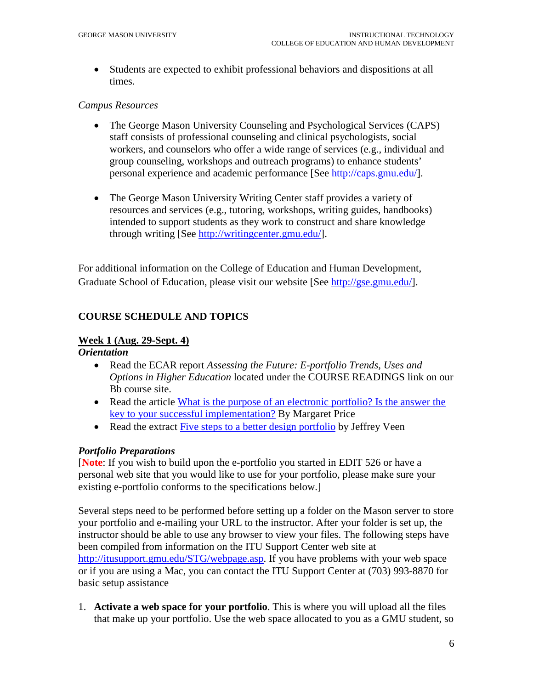• Students are expected to exhibit professional behaviors and dispositions at all times.

\_\_\_\_\_\_\_\_\_\_\_\_\_\_\_\_\_\_\_\_\_\_\_\_\_\_\_\_\_\_\_\_\_\_\_\_\_\_\_\_\_\_\_\_\_\_\_\_\_\_\_\_\_\_\_\_\_\_\_\_\_\_\_\_\_\_\_\_\_\_\_\_\_\_\_\_\_\_\_\_\_\_\_\_\_\_\_\_\_\_\_\_\_\_\_\_\_\_\_\_\_\_\_\_\_\_\_\_

#### *Campus Resources*

- The George Mason University Counseling and Psychological Services (CAPS) staff consists of professional counseling and clinical psychologists, social workers, and counselors who offer a wide range of services (e.g., individual and group counseling, workshops and outreach programs) to enhance students' personal experience and academic performance [See [http://caps.gmu.edu/\]](http://caps.gmu.edu/).
- The George Mason University Writing Center staff provides a variety of resources and services (e.g., tutoring, workshops, writing guides, handbooks) intended to support students as they work to construct and share knowledge through writing [See [http://writingcenter.gmu.edu/\]](http://writingcenter.gmu.edu/).

For additional information on the College of Education and Human Development, Graduate School of Education, please visit our website [See [http://gse.gmu.edu/\]](http://gse.gmu.edu/).

## **COURSE SCHEDULE AND TOPICS**

#### **Week 1 (Aug. 29-Sept. 4)**

*Orientation*

- Read the ECAR report *Assessing the Future: E-portfolio Trends, Uses and Options in Higher Education* located under the COURSE READINGS link on our Bb course site.
- Read the article What is the purpose of an electronic portfolio? Is the answer the [key to your successful implementation?](http://campustechnology.com/articles/2006/12/what-is-the-purpose-of-an-electronic-portfolio-is-the-answer-the-key-to-your-successful-implementati.aspx) By Margaret Price
- Read the extract [Five steps to a better design portfolio](http://www.veen.com/jeff/archives/000935.html) by Jeffrey Veen

### *Portfolio Preparations*

[**Note**: If you wish to build upon the e-portfolio you started in EDIT 526 or have a personal web site that you would like to use for your portfolio, please make sure your existing e-portfolio conforms to the specifications below.]

Several steps need to be performed before setting up a folder on the Mason server to store your portfolio and e-mailing your URL to the instructor. After your folder is set up, the instructor should be able to use any browser to view your files. The following steps have been compiled from information on the ITU Support Center web site at [http://itusupport.gmu.edu/STG/webpage.asp.](http://itusupport.gmu.edu/STG/webpage.asp) If you have problems with your web space or if you are using a Mac, you can contact the ITU Support Center at (703) 993-8870 for basic setup assistance

1. **Activate a web space for your portfolio**. This is where you will upload all the files that make up your portfolio. Use the web space allocated to you as a GMU student, so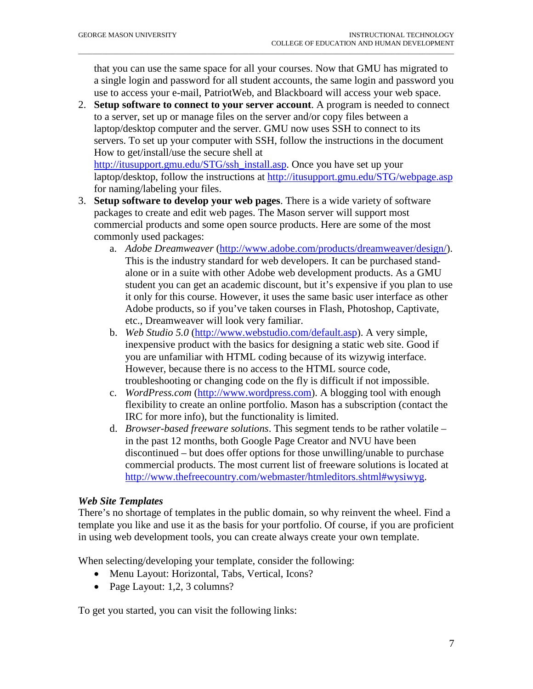that you can use the same space for all your courses. Now that GMU has migrated to a single login and password for all student accounts, the same login and password you use to access your e-mail, PatriotWeb, and Blackboard will access your web space.

\_\_\_\_\_\_\_\_\_\_\_\_\_\_\_\_\_\_\_\_\_\_\_\_\_\_\_\_\_\_\_\_\_\_\_\_\_\_\_\_\_\_\_\_\_\_\_\_\_\_\_\_\_\_\_\_\_\_\_\_\_\_\_\_\_\_\_\_\_\_\_\_\_\_\_\_\_\_\_\_\_\_\_\_\_\_\_\_\_\_\_\_\_\_\_\_\_\_\_\_\_\_\_\_\_\_\_\_

2. **Setup software to connect to your server account**. A program is needed to connect to a server, set up or manage files on the server and/or copy files between a laptop/desktop computer and the server. GMU now uses SSH to connect to its servers. To set up your computer with SSH, follow the instructions in the document How to get/install/use the secure shell at

[http://itusupport.gmu.edu/STG/ssh\\_install.asp.](http://itusupport.gmu.edu/STG/ssh_install.asp) Once you have set up your laptop/desktop, follow the instructions at<http://itusupport.gmu.edu/STG/webpage.asp> for naming/labeling your files.

- 3. **Setup software to develop your web pages**. There is a wide variety of software packages to create and edit web pages. The Mason server will support most commercial products and some open source products. Here are some of the most commonly used packages:
	- a. *Adobe Dreamweaver* [\(http://www.adobe.com/products/dreamweaver/design/\)](http://www.adobe.com/products/dreamweaver/design/). This is the industry standard for web developers. It can be purchased standalone or in a suite with other Adobe web development products. As a GMU student you can get an academic discount, but it's expensive if you plan to use it only for this course. However, it uses the same basic user interface as other Adobe products, so if you've taken courses in Flash, Photoshop, Captivate, etc., Dreamweaver will look very familiar.
	- b. *Web Studio 5.0* [\(http://www.webstudio.com/default.asp\)](http://www.webstudio.com/default.asp). A very simple, inexpensive product with the basics for designing a static web site. Good if you are unfamiliar with HTML coding because of its wizywig interface. However, because there is no access to the HTML source code, troubleshooting or changing code on the fly is difficult if not impossible.
	- c. *WordPress.com* [\(http://www.wordpress.com\)](http://www.wordpress.com/). A blogging tool with enough flexibility to create an online portfolio. Mason has a subscription (contact the IRC for more info), but the functionality is limited.
	- d. *Browser-based freeware solutions*. This segment tends to be rather volatile in the past 12 months, both Google Page Creator and NVU have been discontinued – but does offer options for those unwilling/unable to purchase commercial products. The most current list of freeware solutions is located at [http://www.thefreecountry.com/webmaster/htmleditors.shtml#wysiwyg.](http://www.thefreecountry.com/webmaster/htmleditors.shtml#wysiwyg)

### *Web Site Templates*

There's no shortage of templates in the public domain, so why reinvent the wheel. Find a template you like and use it as the basis for your portfolio. Of course, if you are proficient in using web development tools, you can create always create your own template.

When selecting/developing your template, consider the following:

- Menu Layout: Horizontal, Tabs, Vertical, Icons?
- Page Layout: 1,2, 3 columns?

To get you started, you can visit the following links: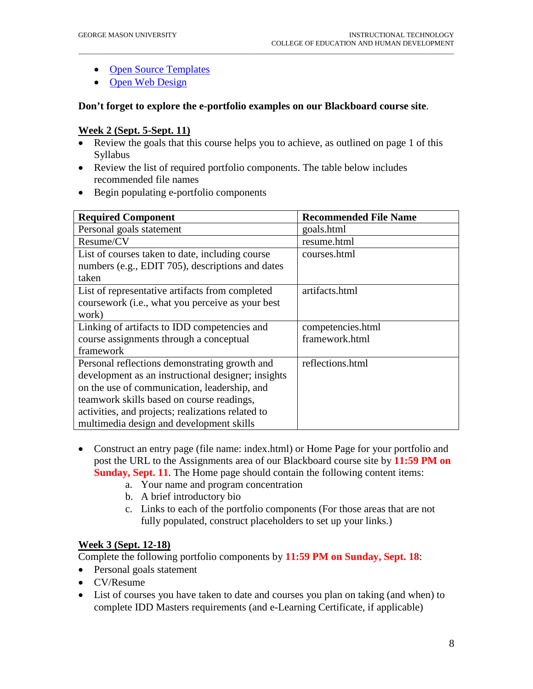- [Open Source Templates](http://opensourcetemplates.org/)
- [Open Web Design](http://www.openwebdesign.org/)

#### **Don't forget to explore the e-portfolio examples on our Blackboard course site**.

\_\_\_\_\_\_\_\_\_\_\_\_\_\_\_\_\_\_\_\_\_\_\_\_\_\_\_\_\_\_\_\_\_\_\_\_\_\_\_\_\_\_\_\_\_\_\_\_\_\_\_\_\_\_\_\_\_\_\_\_\_\_\_\_\_\_\_\_\_\_\_\_\_\_\_\_\_\_\_\_\_\_\_\_\_\_\_\_\_\_\_\_\_\_\_\_\_\_\_\_\_\_\_\_\_\_\_\_

#### **Week 2 (Sept. 5-Sept. 11)**

- Review the goals that this course helps you to achieve, as outlined on page 1 of this Syllabus
- Review the list of required portfolio components. The table below includes recommended file names
- Begin populating e-portfolio components

| <b>Required Component</b>                          | <b>Recommended File Name</b> |
|----------------------------------------------------|------------------------------|
| Personal goals statement                           | goals.html                   |
| Resume/CV                                          | resume.html                  |
| List of courses taken to date, including course    | courses.html                 |
| numbers (e.g., EDIT 705), descriptions and dates   |                              |
| taken                                              |                              |
| List of representative artifacts from completed    | artifacts.html               |
| coursework (i.e., what you perceive as your best   |                              |
| work)                                              |                              |
| Linking of artifacts to IDD competencies and       | competencies.html            |
| course assignments through a conceptual            | framework.html               |
| framework                                          |                              |
| Personal reflections demonstrating growth and      | reflections.html             |
| development as an instructional designer; insights |                              |
| on the use of communication, leadership, and       |                              |
| teamwork skills based on course readings,          |                              |
| activities, and projects; realizations related to  |                              |
| multimedia design and development skills           |                              |

- Construct an entry page (file name: index.html) or Home Page for your portfolio and post the URL to the Assignments area of our Blackboard course site by **11:59 PM on Sunday, Sept. 11**. The Home page should contain the following content items:
	- a. Your name and program concentration
	- b. A brief introductory bio
	- c. Links to each of the portfolio components (For those areas that are not fully populated, construct placeholders to set up your links.)

#### **Week 3 (Sept. 12-18)**

Complete the following portfolio components by **11:59 PM on Sunday, Sept. 18**:

- Personal goals statement
- CV/Resume
- List of courses you have taken to date and courses you plan on taking (and when) to complete IDD Masters requirements (and e-Learning Certificate, if applicable)